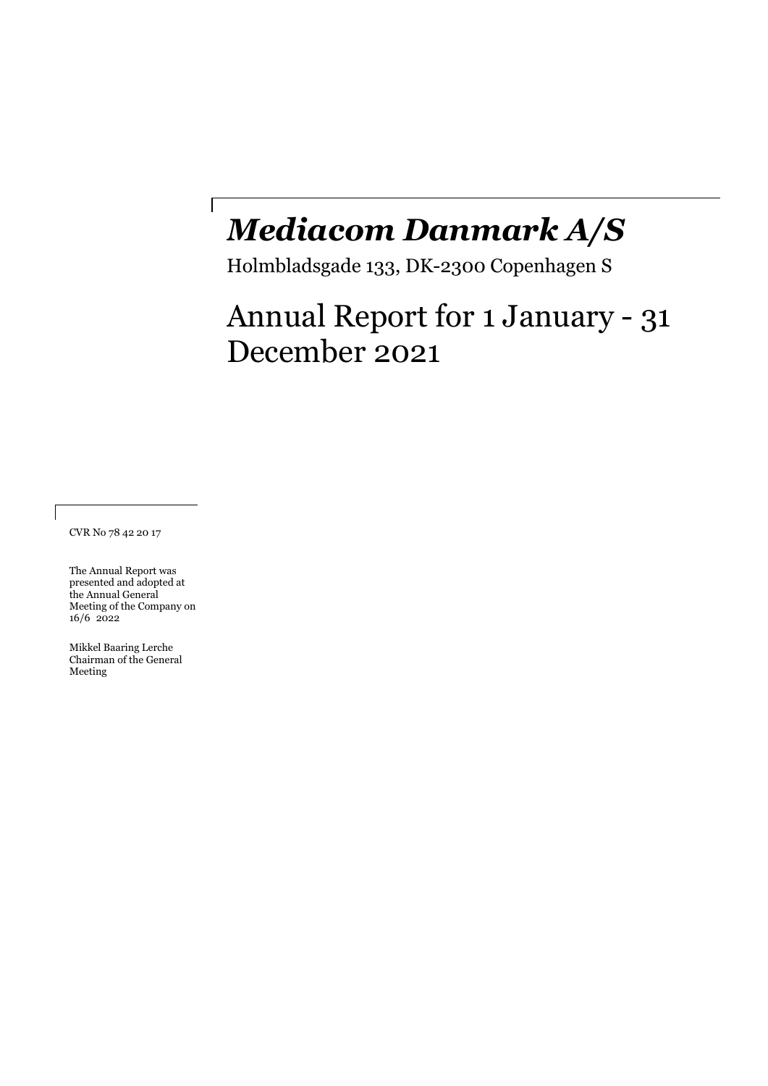# *Mediacom Danmark A/S*

Holmbladsgade 133, DK-2300 Copenhagen S

# Annual Report for 1 January - 31 December 2021

CVR No 78 42 20 17

The Annual Report was presented and adopted at the Annual General Meeting of the Company on 16/6 2022

 $\lceil$ 

Mikkel Baaring Lerche Chairman of the General Meeting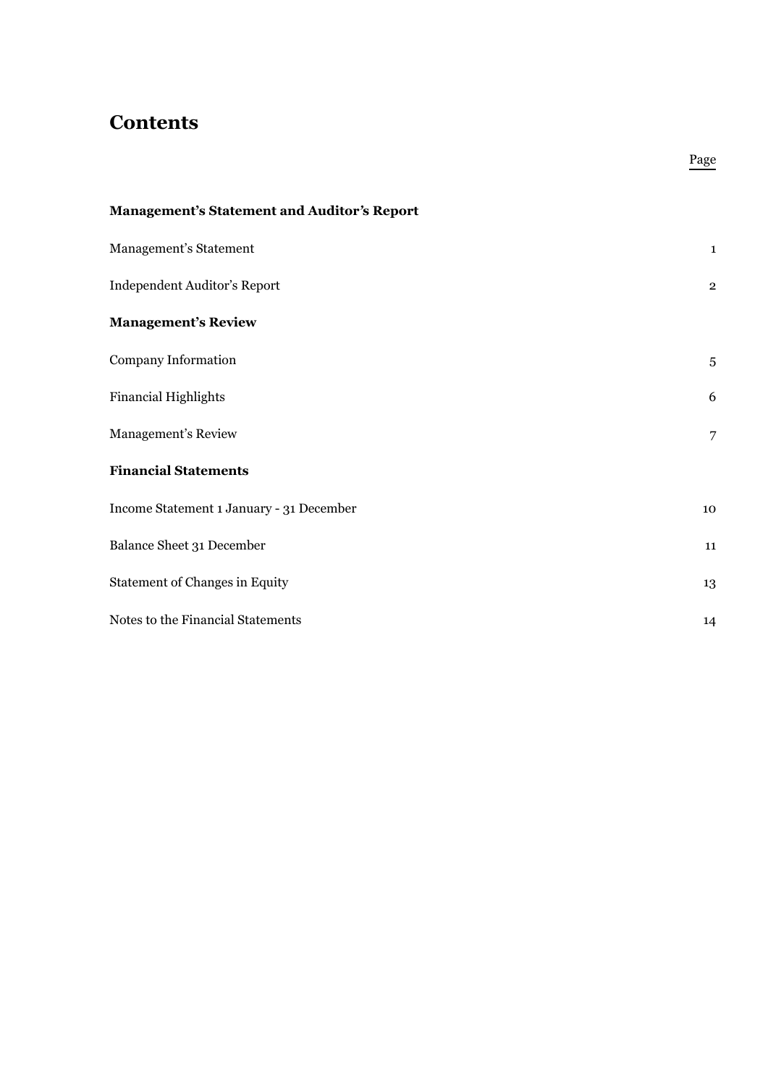### **Contents**

| <b>Management's Statement and Auditor's Report</b> |                |
|----------------------------------------------------|----------------|
| Management's Statement                             | $\mathbf{1}$   |
| Independent Auditor's Report                       | $\mathbf{2}$   |
| <b>Management's Review</b>                         |                |
| Company Information                                | $\sqrt{5}$     |
| <b>Financial Highlights</b>                        | 6              |
| Management's Review                                | $\overline{7}$ |
| <b>Financial Statements</b>                        |                |
| Income Statement 1 January - 31 December           | 10             |
| Balance Sheet 31 December                          | 11             |
| <b>Statement of Changes in Equity</b>              | 13             |
| Notes to the Financial Statements                  | 14             |

Page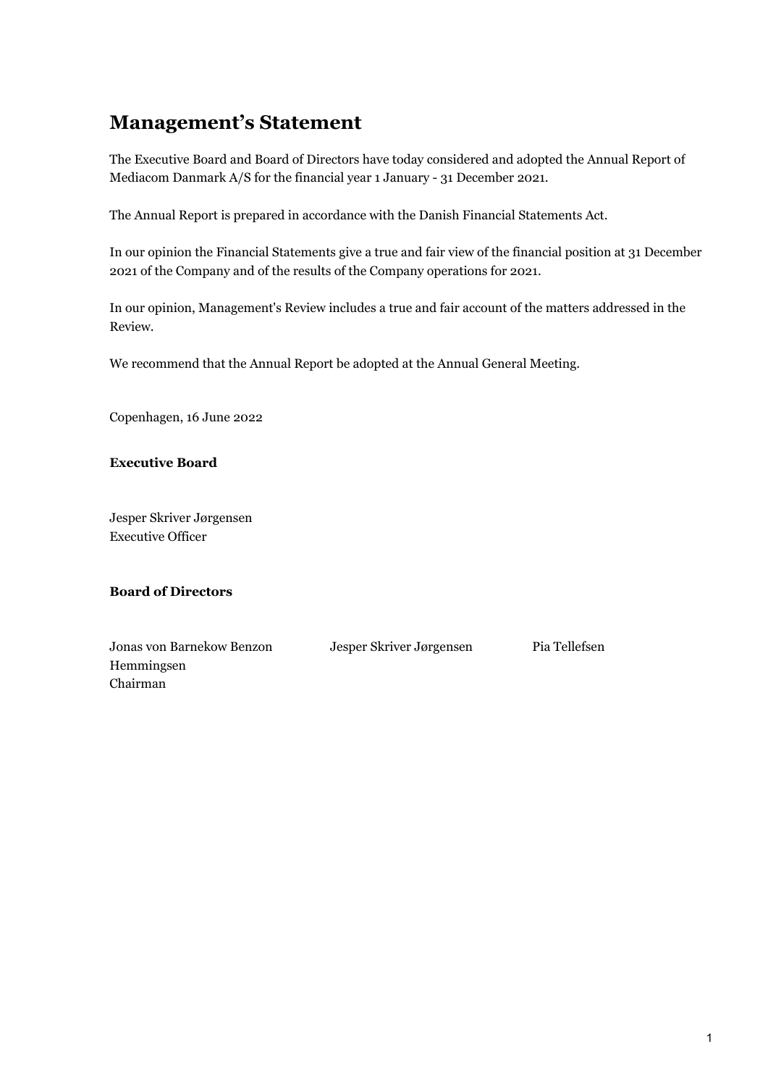## **Management's Statement**

The Executive Board and Board of Directors have today considered and adopted the Annual Report of Mediacom Danmark A/S for the financial year 1 January - 31 December 2021.

The Annual Report is prepared in accordance with the Danish Financial Statements Act.

In our opinion the Financial Statements give a true and fair view of the financial position at 31 December 2021 of the Company and of the results of the Company operations for 2021.

In our opinion, Management's Review includes a true and fair account of the matters addressed in the Review.

We recommend that the Annual Report be adopted at the Annual General Meeting.

Copenhagen, 16 June 2022

**Executive Board** 

Jesper Skriver Jørgensen Executive Officer

### **Board of Directors**

Jonas von Barnekow Benzon Hemmingsen Chairman Jesper Skriver Jørgensen Pia Tellefsen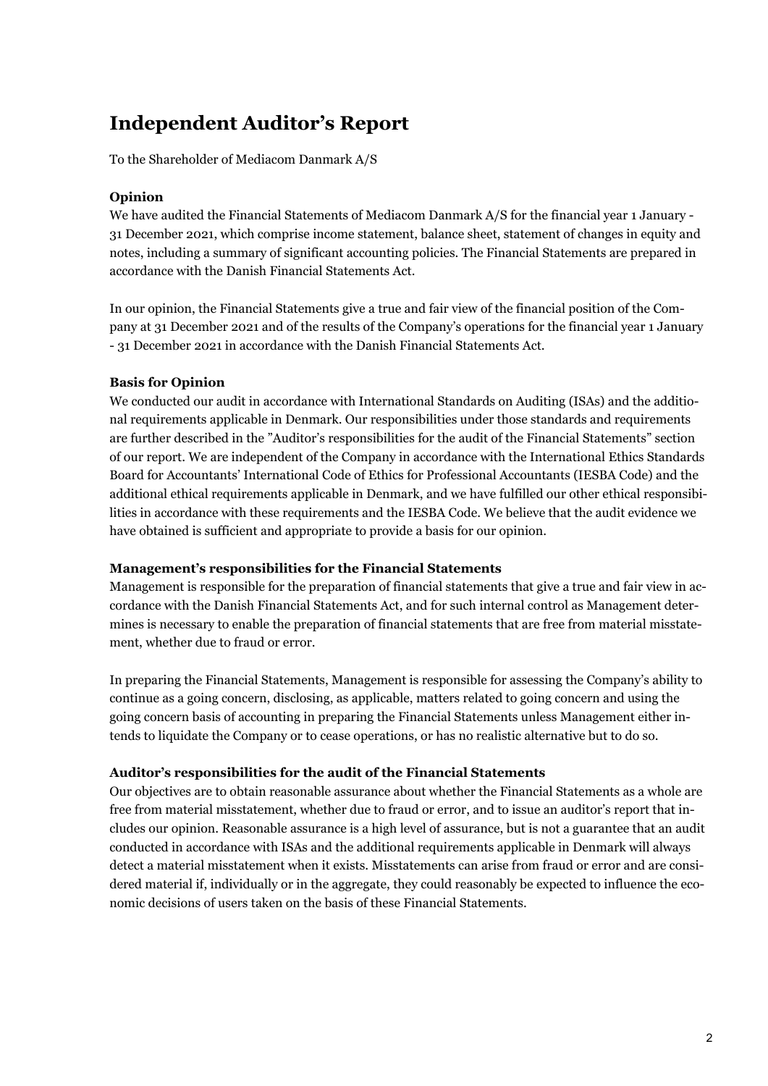# **Independent Auditor's Report**

To the Shareholder of Mediacom Danmark A/S

### **Opinion**

We have audited the Financial Statements of Mediacom Danmark A/S for the financial year 1 January - 31 December 2021, which comprise income statement, balance sheet, statement of changes in equity and notes, including a summary of significant accounting policies. The Financial Statements are prepared in accordance with the Danish Financial Statements Act.

In our opinion, the Financial Statements give a true and fair view of the financial position of the Company at 31 December 2021 and of the results of the Company's operations for the financial year 1 January - 31 December 2021 in accordance with the Danish Financial Statements Act.

### **Basis for Opinion**

We conducted our audit in accordance with International Standards on Auditing (ISAs) and the additional requirements applicable in Denmark. Our responsibilities under those standards and requirements are further described in the "Auditor's responsibilities for the audit of the Financial Statements" section of our report. We are independent of the Company in accordance with the International Ethics Standards Board for Accountants' International Code of Ethics for Professional Accountants (IESBA Code) and the additional ethical requirements applicable in Denmark, and we have fulfilled our other ethical responsibilities in accordance with these requirements and the IESBA Code. We believe that the audit evidence we have obtained is sufficient and appropriate to provide a basis for our opinion.

#### **Management's responsibilities for the Financial Statements**

Management is responsible for the preparation of financial statements that give a true and fair view in accordance with the Danish Financial Statements Act, and for such internal control as Management determines is necessary to enable the preparation of financial statements that are free from material misstatement, whether due to fraud or error.

In preparing the Financial Statements, Management is responsible for assessing the Company's ability to continue as a going concern, disclosing, as applicable, matters related to going concern and using the going concern basis of accounting in preparing the Financial Statements unless Management either intends to liquidate the Company or to cease operations, or has no realistic alternative but to do so.

#### **Auditor's responsibilities for the audit of the Financial Statements**

Our objectives are to obtain reasonable assurance about whether the Financial Statements as a whole are free from material misstatement, whether due to fraud or error, and to issue an auditor's report that includes our opinion. Reasonable assurance is a high level of assurance, but is not a guarantee that an audit conducted in accordance with ISAs and the additional requirements applicable in Denmark will always detect a material misstatement when it exists. Misstatements can arise from fraud or error and are considered material if, individually or in the aggregate, they could reasonably be expected to influence the economic decisions of users taken on the basis of these Financial Statements.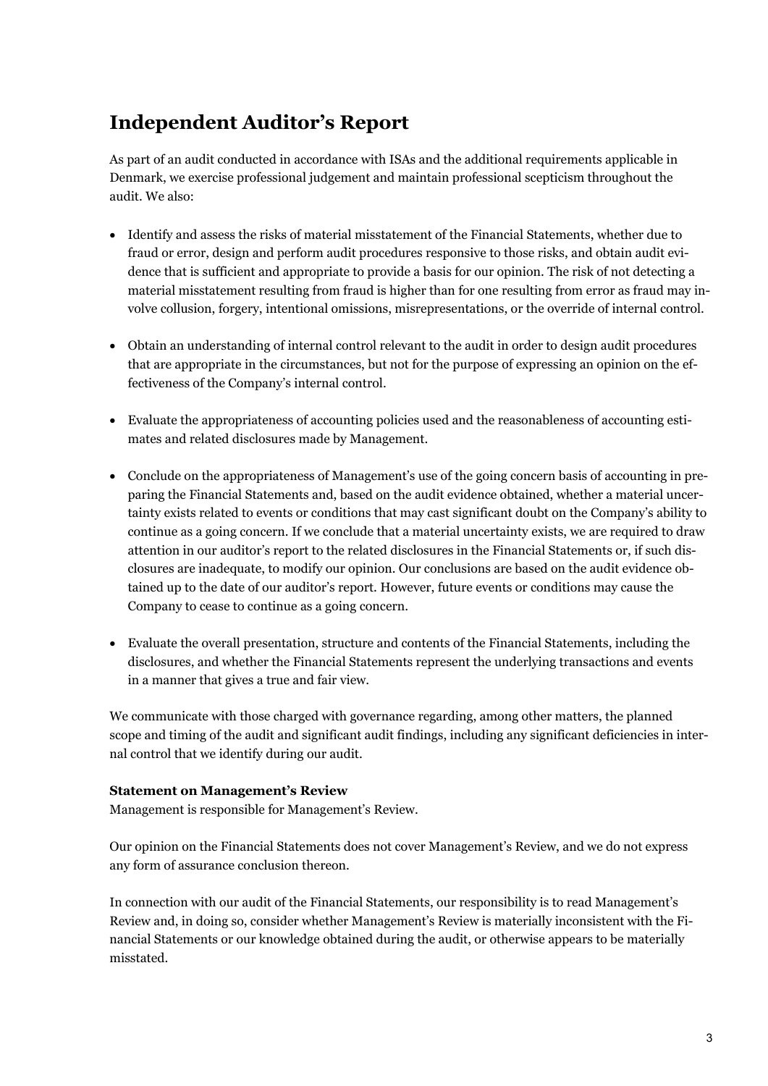# **Independent Auditor's Report**

As part of an audit conducted in accordance with ISAs and the additional requirements applicable in Denmark, we exercise professional judgement and maintain professional scepticism throughout the audit. We also:

- Identify and assess the risks of material misstatement of the Financial Statements, whether due to fraud or error, design and perform audit procedures responsive to those risks, and obtain audit evidence that is sufficient and appropriate to provide a basis for our opinion. The risk of not detecting a material misstatement resulting from fraud is higher than for one resulting from error as fraud may involve collusion, forgery, intentional omissions, misrepresentations, or the override of internal control.
- Obtain an understanding of internal control relevant to the audit in order to design audit procedures that are appropriate in the circumstances, but not for the purpose of expressing an opinion on the effectiveness of the Company's internal control.
- Evaluate the appropriateness of accounting policies used and the reasonableness of accounting estimates and related disclosures made by Management.
- Conclude on the appropriateness of Management's use of the going concern basis of accounting in preparing the Financial Statements and, based on the audit evidence obtained, whether a material uncertainty exists related to events or conditions that may cast significant doubt on the Company's ability to continue as a going concern. If we conclude that a material uncertainty exists, we are required to draw attention in our auditor's report to the related disclosures in the Financial Statements or, if such disclosures are inadequate, to modify our opinion. Our conclusions are based on the audit evidence obtained up to the date of our auditor's report. However, future events or conditions may cause the Company to cease to continue as a going concern.
- Evaluate the overall presentation, structure and contents of the Financial Statements, including the disclosures, and whether the Financial Statements represent the underlying transactions and events in a manner that gives a true and fair view.

We communicate with those charged with governance regarding, among other matters, the planned scope and timing of the audit and significant audit findings, including any significant deficiencies in internal control that we identify during our audit.

#### **Statement on Management's Review**

Management is responsible for Management's Review.

Our opinion on the Financial Statements does not cover Management's Review, and we do not express any form of assurance conclusion thereon.

In connection with our audit of the Financial Statements, our responsibility is to read Management's Review and, in doing so, consider whether Management's Review is materially inconsistent with the Financial Statements or our knowledge obtained during the audit, or otherwise appears to be materially misstated.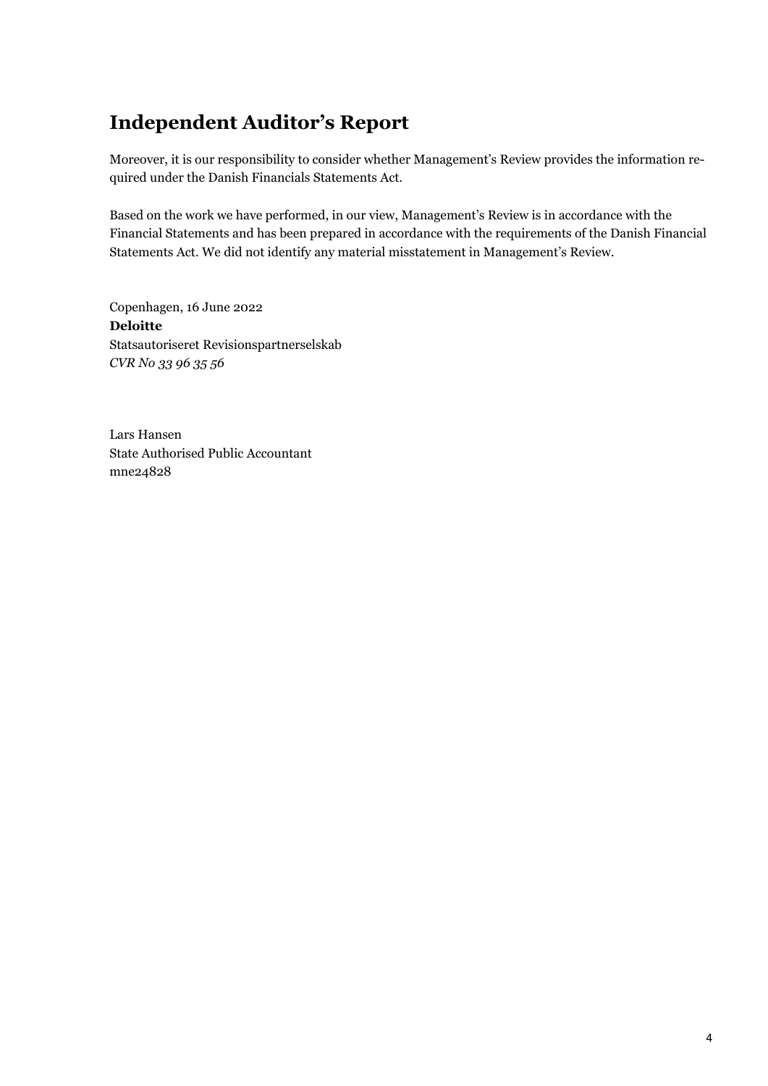# **Independent Auditor's Report**

Moreover, it is our responsibility to consider whether Management's Review provides the information required under the Danish Financials Statements Act.

Based on the work we have performed, in our view, Management's Review is in accordance with the Financial Statements and has been prepared in accordance with the requirements of the Danish Financial Statements Act. We did not identify any material misstatement in Management's Review.

Copenhagen, 16 June 2022 **Deloitte** Statsautoriseret Revisionspartnerselskab *CVR No 33 96 35 56*

Lars Hansen State Authorised Public Accountant mne24828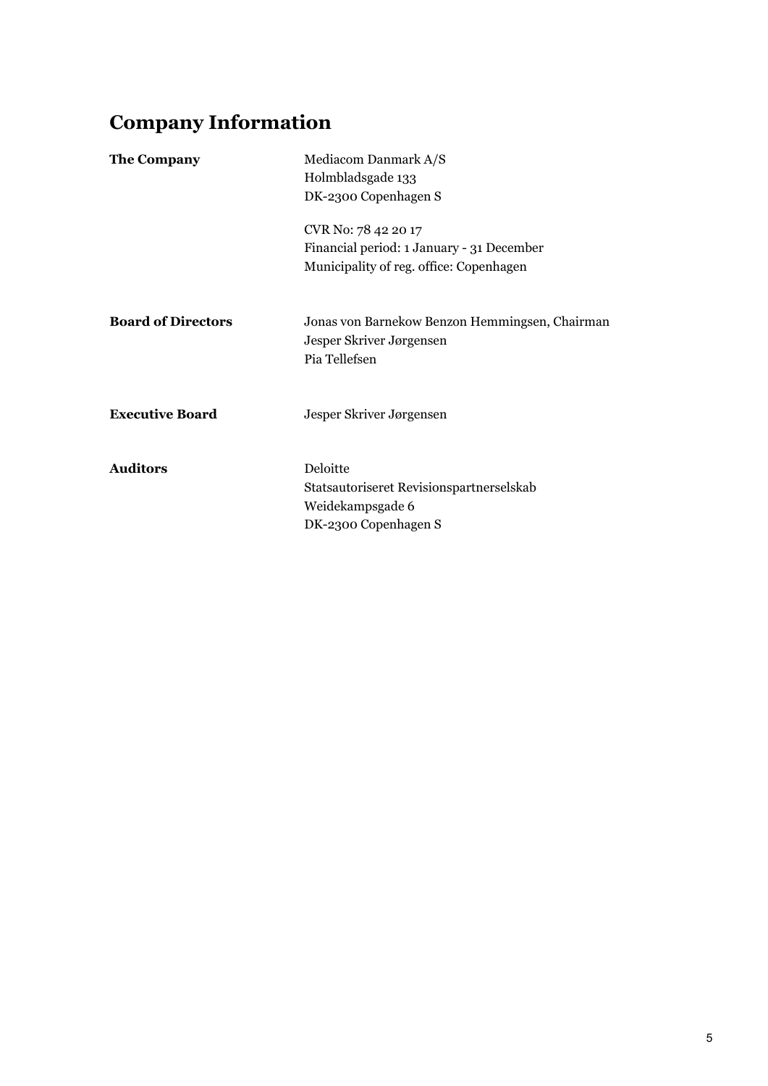# **Company Information**

| <b>The Company</b>        | Mediacom Danmark A/S<br>Holmbladsgade 133<br>DK-2300 Copenhagen S                                           |
|---------------------------|-------------------------------------------------------------------------------------------------------------|
|                           | CVR No: 78 42 20 17<br>Financial period: 1 January - 31 December<br>Municipality of reg. office: Copenhagen |
| <b>Board of Directors</b> | Jonas von Barnekow Benzon Hemmingsen, Chairman<br>Jesper Skriver Jørgensen<br>Pia Tellefsen                 |
| <b>Executive Board</b>    | Jesper Skriver Jørgensen                                                                                    |
| <b>Auditors</b>           | Deloitte<br>Statsautoriseret Revisionspartnerselskab<br>Weidekampsgade 6<br>DK-2300 Copenhagen S            |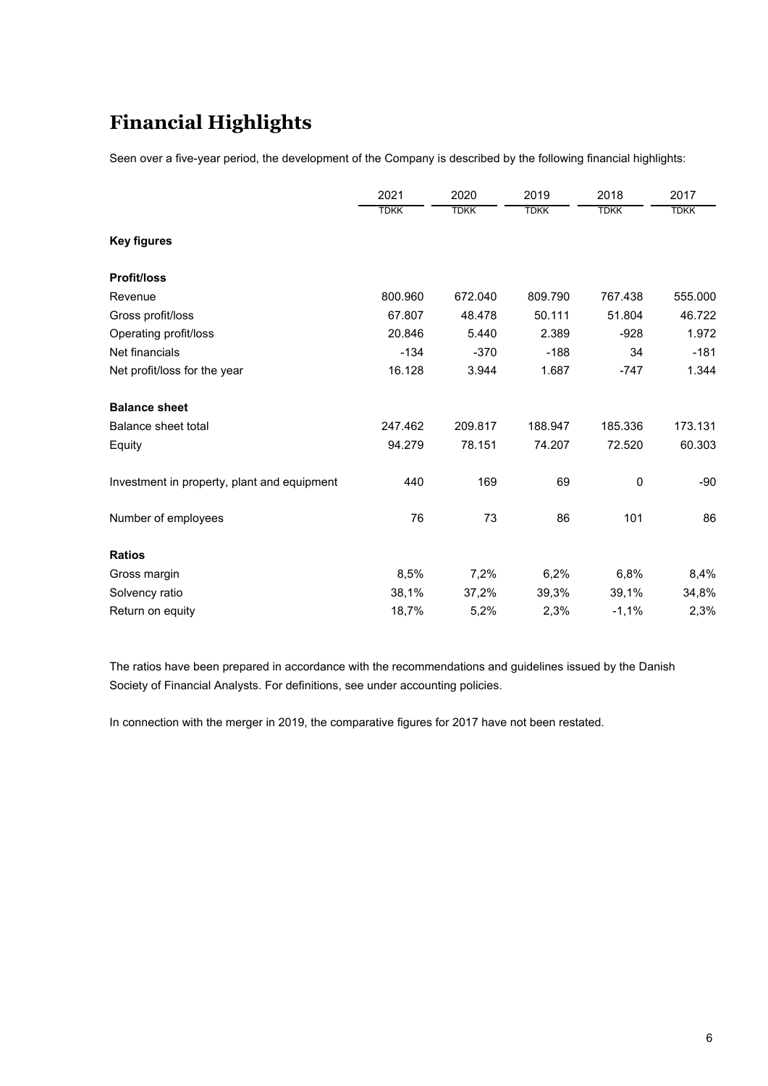# **Financial Highlights**

Seen over a five-year period, the development of the Company is described by the following financial highlights:

|                                             | 2021        | 2020        | 2019        | 2018        | 2017        |
|---------------------------------------------|-------------|-------------|-------------|-------------|-------------|
|                                             | <b>TDKK</b> | <b>TDKK</b> | <b>TDKK</b> | <b>TDKK</b> | <b>TDKK</b> |
| <b>Key figures</b>                          |             |             |             |             |             |
| <b>Profit/loss</b>                          |             |             |             |             |             |
| Revenue                                     | 800.960     | 672.040     | 809.790     | 767.438     | 555.000     |
| Gross profit/loss                           | 67.807      | 48.478      | 50.111      | 51.804      | 46.722      |
| Operating profit/loss                       | 20.846      | 5.440       | 2.389       | $-928$      | 1.972       |
| Net financials                              | $-134$      | $-370$      | $-188$      | 34          | $-181$      |
| Net profit/loss for the year                | 16.128      | 3.944       | 1.687       | $-747$      | 1.344       |
| <b>Balance sheet</b>                        |             |             |             |             |             |
| <b>Balance sheet total</b>                  | 247.462     | 209.817     | 188.947     | 185.336     | 173.131     |
| Equity                                      | 94.279      | 78.151      | 74.207      | 72.520      | 60.303      |
| Investment in property, plant and equipment | 440         | 169         | 69          | 0           | $-90$       |
| Number of employees                         | 76          | 73          | 86          | 101         | 86          |
| <b>Ratios</b>                               |             |             |             |             |             |
| Gross margin                                | 8,5%        | 7,2%        | 6,2%        | 6,8%        | 8,4%        |
| Solvency ratio                              | 38,1%       | 37,2%       | 39,3%       | 39,1%       | 34,8%       |
| Return on equity                            | 18,7%       | 5,2%        | 2,3%        | $-1,1%$     | 2,3%        |

The ratios have been prepared in accordance with the recommendations and guidelines issued by the Danish Society of Financial Analysts. For definitions, see under accounting policies.

In connection with the merger in 2019, the comparative figures for 2017 have not been restated.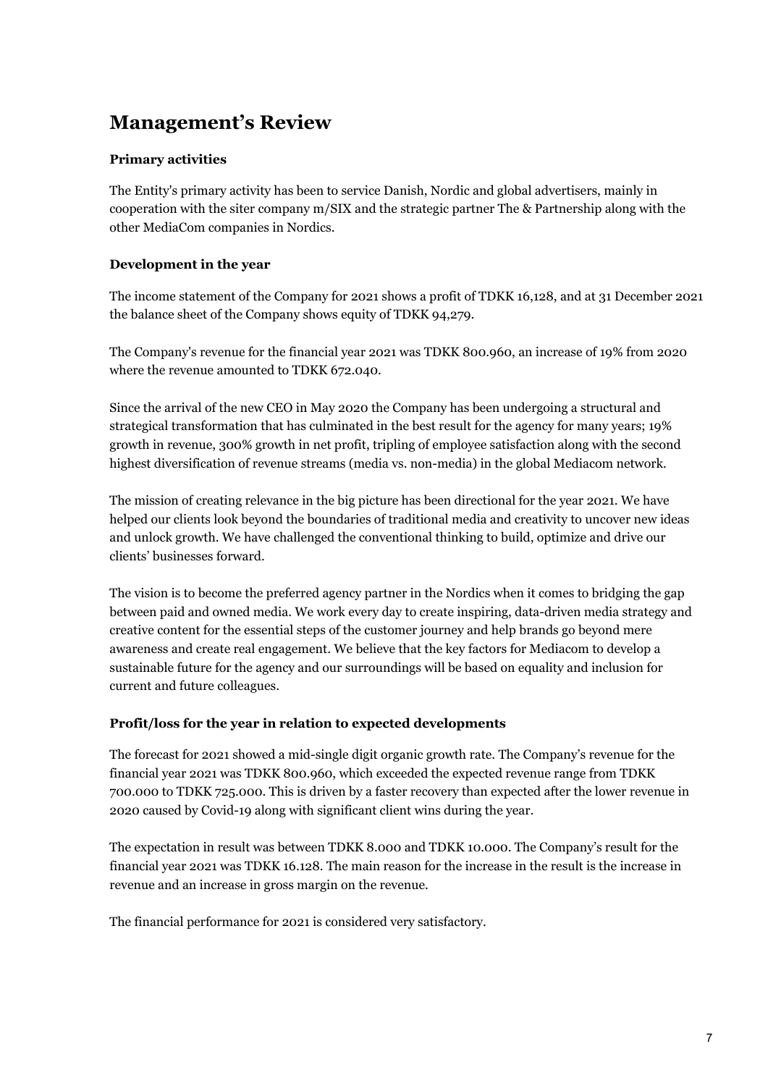# **Management's Review**

### **Primary activities**

The Entity's primary activity has been to service Danish, Nordic and global advertisers, mainly in cooperation with the siter company m/SIX and the strategic partner The & Partnership along with the other MediaCom companies in Nordics.

### **Development in the year**

The income statement of the Company for 2021 shows a profit of TDKK 16,128, and at 31 December 2021 the balance sheet of the Company shows equity of TDKK 94,279.

The Company's revenue for the financial year 2021 was TDKK 800.960, an increase of 19% from 2020 where the revenue amounted to TDKK 672.040.

Since the arrival of the new CEO in May 2020 the Company has been undergoing a structural and strategical transformation that has culminated in the best result for the agency for many years; 19% growth in revenue, 300% growth in net profit, tripling of employee satisfaction along with the second highest diversification of revenue streams (media vs. non-media) in the global Mediacom network.

The mission of creating relevance in the big picture has been directional for the year 2021. We have helped our clients look beyond the boundaries of traditional media and creativity to uncover new ideas and unlock growth. We have challenged the conventional thinking to build, optimize and drive our clients' businesses forward.

The vision is to become the preferred agency partner in the Nordics when it comes to bridging the gap between paid and owned media. We work every day to create inspiring, data-driven media strategy and creative content for the essential steps of the customer journey and help brands go beyond mere awareness and create real engagement. We believe that the key factors for Mediacom to develop a sustainable future for the agency and our surroundings will be based on equality and inclusion for current and future colleagues.

#### **Profit/loss for the year in relation to expected developments**

The forecast for 2021 showed a mid-single digit organic growth rate. The Company's revenue for the financial year 2021 was TDKK 800.960, which exceeded the expected revenue range from TDKK 700.000 to TDKK 725.000. This is driven by a faster recovery than expected after the lower revenue in 2020 caused by Covid-19 along with significant client wins during the year.

The expectation in result was between TDKK 8.000 and TDKK 10.000. The Company's result for the financial year 2021 was TDKK 16.128. The main reason for the increase in the result is the increase in revenue and an increase in gross margin on the revenue.

The financial performance for 2021 is considered very satisfactory.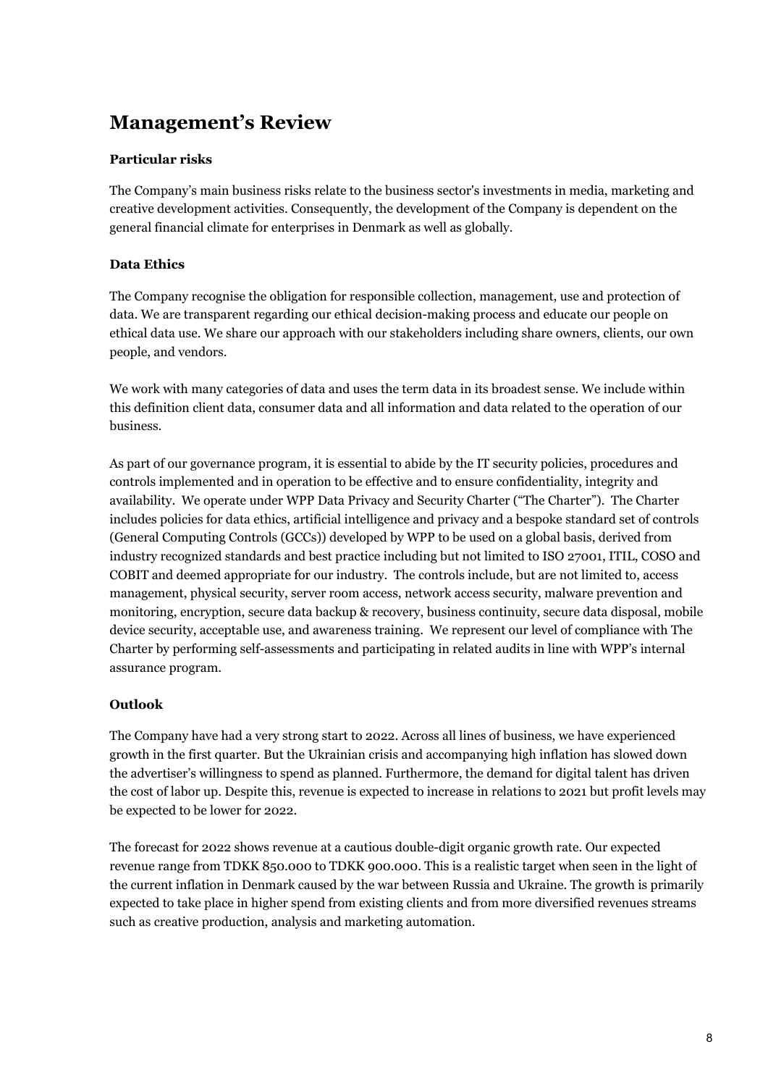# **Management's Review**

### **Particular risks**

The Company's main business risks relate to the business sector's investments in media, marketing and creative development activities. Consequently, the development of the Company is dependent on the general financial climate for enterprises in Denmark as well as globally.

### **Data Ethics**

The Company recognise the obligation for responsible collection, management, use and protection of data. We are transparent regarding our ethical decision-making process and educate our people on ethical data use. We share our approach with our stakeholders including share owners, clients, our own people, and vendors.

We work with many categories of data and uses the term data in its broadest sense. We include within this definition client data, consumer data and all information and data related to the operation of our business.

As part of our governance program, it is essential to abide by the IT security policies, procedures and controls implemented and in operation to be effective and to ensure confidentiality, integrity and availability. We operate under WPP Data Privacy and Security Charter ("The Charter"). The Charter includes policies for data ethics, artificial intelligence and privacy and a bespoke standard set of controls (General Computing Controls (GCCs)) developed by WPP to be used on a global basis, derived from industry recognized standards and best practice including but not limited to ISO 27001, ITIL, COSO and COBIT and deemed appropriate for our industry. The controls include, but are not limited to, access management, physical security, server room access, network access security, malware prevention and monitoring, encryption, secure data backup & recovery, business continuity, secure data disposal, mobile device security, acceptable use, and awareness training. We represent our level of compliance with The Charter by performing self-assessments and participating in related audits in line with WPP's internal assurance program.

### **Outlook**

The Company have had a very strong start to 2022. Across all lines of business, we have experienced growth in the first quarter. But the Ukrainian crisis and accompanying high inflation has slowed down the advertiser's willingness to spend as planned. Furthermore, the demand for digital talent has driven the cost of labor up. Despite this, revenue is expected to increase in relations to 2021 but profit levels may be expected to be lower for 2022.

The forecast for 2022 shows revenue at a cautious double-digit organic growth rate. Our expected revenue range from TDKK 850.000 to TDKK 900.000. This is a realistic target when seen in the light of the current inflation in Denmark caused by the war between Russia and Ukraine. The growth is primarily expected to take place in higher spend from existing clients and from more diversified revenues streams such as creative production, analysis and marketing automation.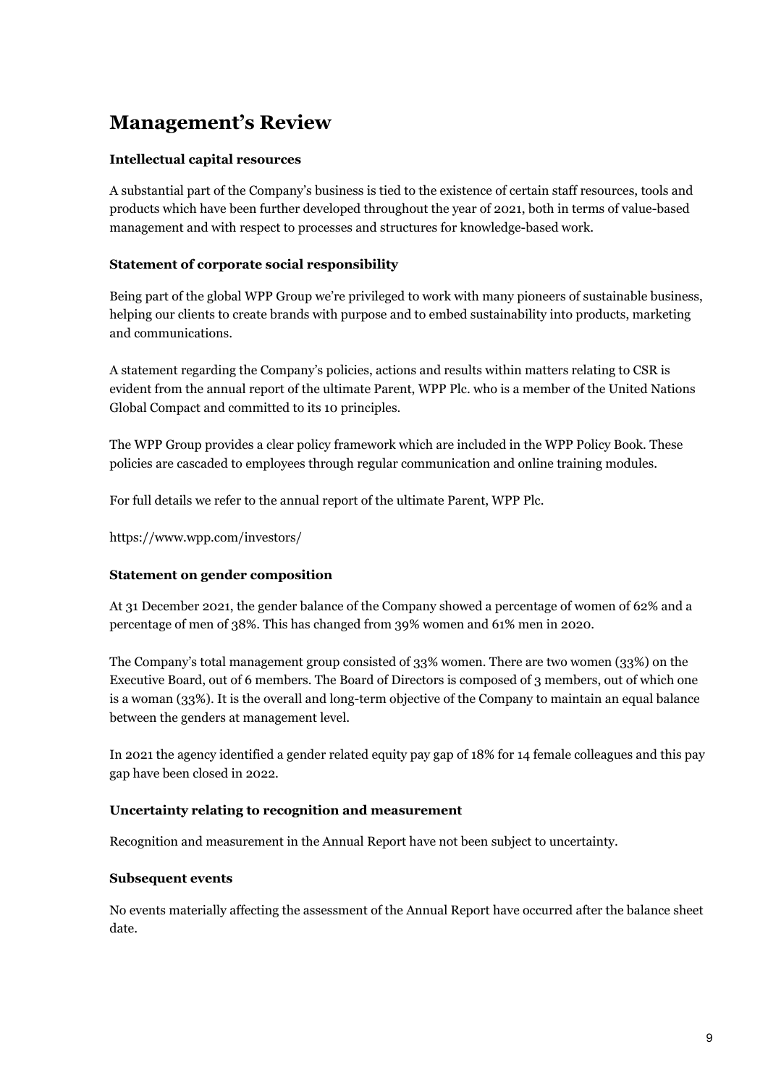# **Management's Review**

### **Intellectual capital resources**

A substantial part of the Company's business is tied to the existence of certain staff resources, tools and products which have been further developed throughout the year of 2021, both in terms of value-based management and with respect to processes and structures for knowledge-based work.

### **Statement of corporate social responsibility**

Being part of the global WPP Group we're privileged to work with many pioneers of sustainable business, helping our clients to create brands with purpose and to embed sustainability into products, marketing and communications.

A statement regarding the Company's policies, actions and results within matters relating to CSR is evident from the annual report of the ultimate Parent, WPP Plc. who is a member of the United Nations Global Compact and committed to its 10 principles.

The WPP Group provides a clear policy framework which are included in the WPP Policy Book. These policies are cascaded to employees through regular communication and online training modules.

For full details we refer to the annual report of the ultimate Parent, WPP Plc.

https://www.wpp.com/investors/

### **Statement on gender composition**

At 31 December 2021, the gender balance of the Company showed a percentage of women of 62% and a percentage of men of 38%. This has changed from 39% women and 61% men in 2020.

The Company's total management group consisted of 33% women. There are two women (33%) on the Executive Board, out of 6 members. The Board of Directors is composed of 3 members, out of which one is a woman (33%). It is the overall and long-term objective of the Company to maintain an equal balance between the genders at management level.

In 2021 the agency identified a gender related equity pay gap of 18% for 14 female colleagues and this pay gap have been closed in 2022.

#### **Uncertainty relating to recognition and measurement**

Recognition and measurement in the Annual Report have not been subject to uncertainty.

#### **Subsequent events**

No events materially affecting the assessment of the Annual Report have occurred after the balance sheet date.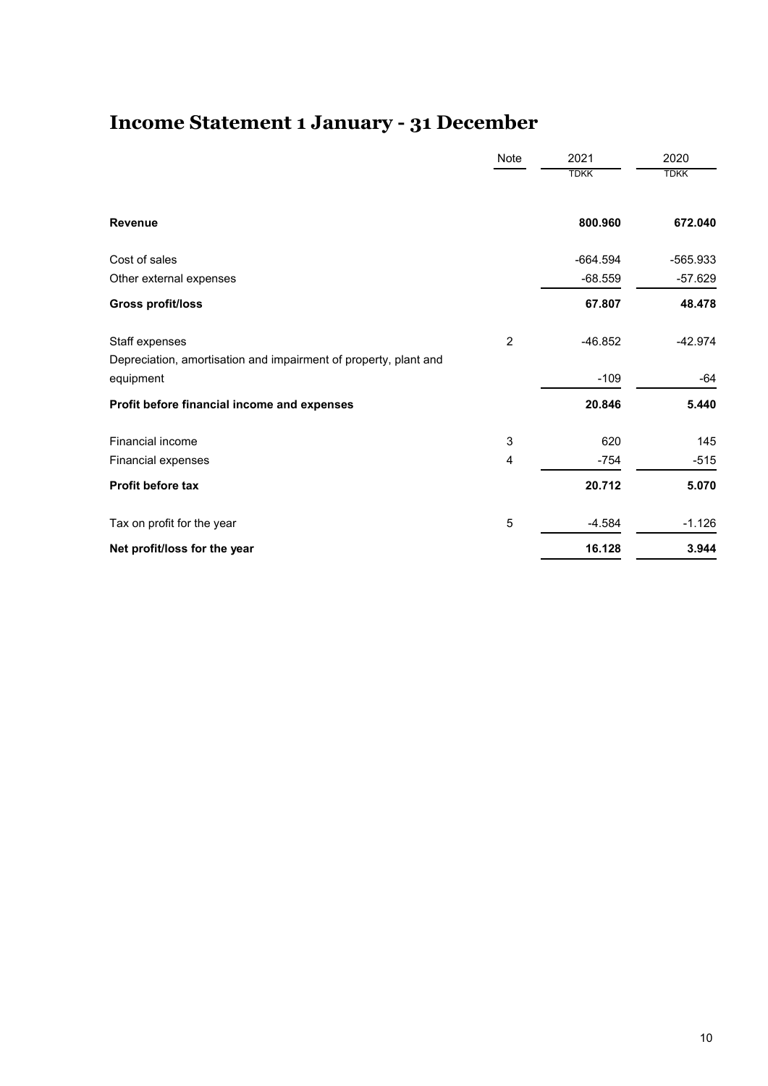# **Income Statement 1 January - 31 December**

|                                                                  | Note           | 2021        | 2020        |
|------------------------------------------------------------------|----------------|-------------|-------------|
|                                                                  |                | <b>TDKK</b> | <b>TDKK</b> |
| <b>Revenue</b>                                                   |                | 800.960     | 672.040     |
| Cost of sales                                                    |                | $-664.594$  | -565.933    |
| Other external expenses                                          |                | $-68.559$   | $-57.629$   |
| <b>Gross profit/loss</b>                                         |                | 67.807      | 48.478      |
| Staff expenses                                                   | $\overline{2}$ | $-46.852$   | $-42.974$   |
| Depreciation, amortisation and impairment of property, plant and |                |             |             |
| equipment                                                        |                | $-109$      | $-64$       |
| Profit before financial income and expenses                      |                | 20.846      | 5.440       |
| Financial income                                                 | $\sqrt{3}$     | 620         | 145         |
| Financial expenses                                               | 4              | $-754$      | $-515$      |
| <b>Profit before tax</b>                                         |                | 20.712      | 5.070       |
| Tax on profit for the year                                       | $\mathbf 5$    | $-4.584$    | $-1.126$    |
| Net profit/loss for the year                                     |                | 16.128      | 3.944       |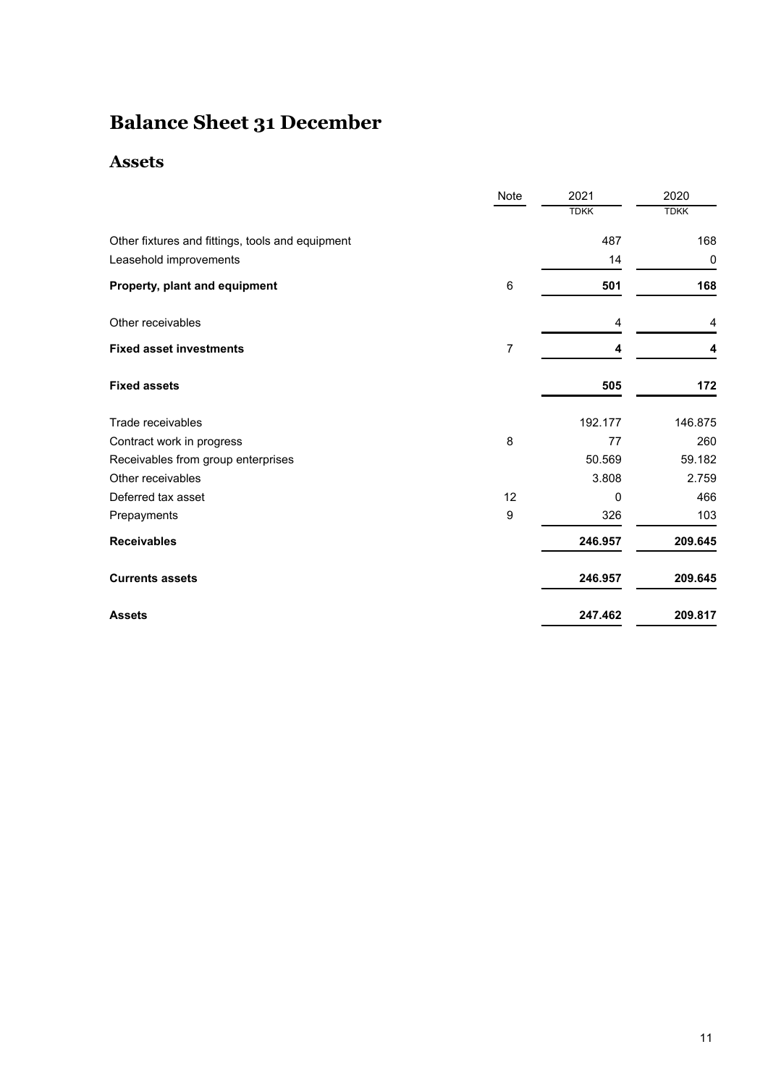# **Balance Sheet 31 December**

### **Assets**

|                                                  | Note           | 2021         | 2020        |
|--------------------------------------------------|----------------|--------------|-------------|
|                                                  |                | <b>TDKK</b>  | <b>TDKK</b> |
| Other fixtures and fittings, tools and equipment |                | 487          | 168         |
| Leasehold improvements                           |                | 14           | $\mathbf 0$ |
| Property, plant and equipment                    | 6              | 501          | 168         |
| Other receivables                                |                | 4            | 4           |
| <b>Fixed asset investments</b>                   | $\overline{7}$ | 4            | 4           |
| <b>Fixed assets</b>                              |                | 505          | 172         |
| Trade receivables                                |                | 192.177      | 146.875     |
| Contract work in progress                        | 8              | 77           | 260         |
| Receivables from group enterprises               |                | 50.569       | 59.182      |
| Other receivables                                |                | 3.808        | 2.759       |
| Deferred tax asset                               | 12             | $\mathbf{0}$ | 466         |
| Prepayments                                      | 9              | 326          | 103         |
| <b>Receivables</b>                               |                | 246.957      | 209.645     |
| <b>Currents assets</b>                           |                | 246.957      | 209.645     |
| <b>Assets</b>                                    |                | 247.462      | 209.817     |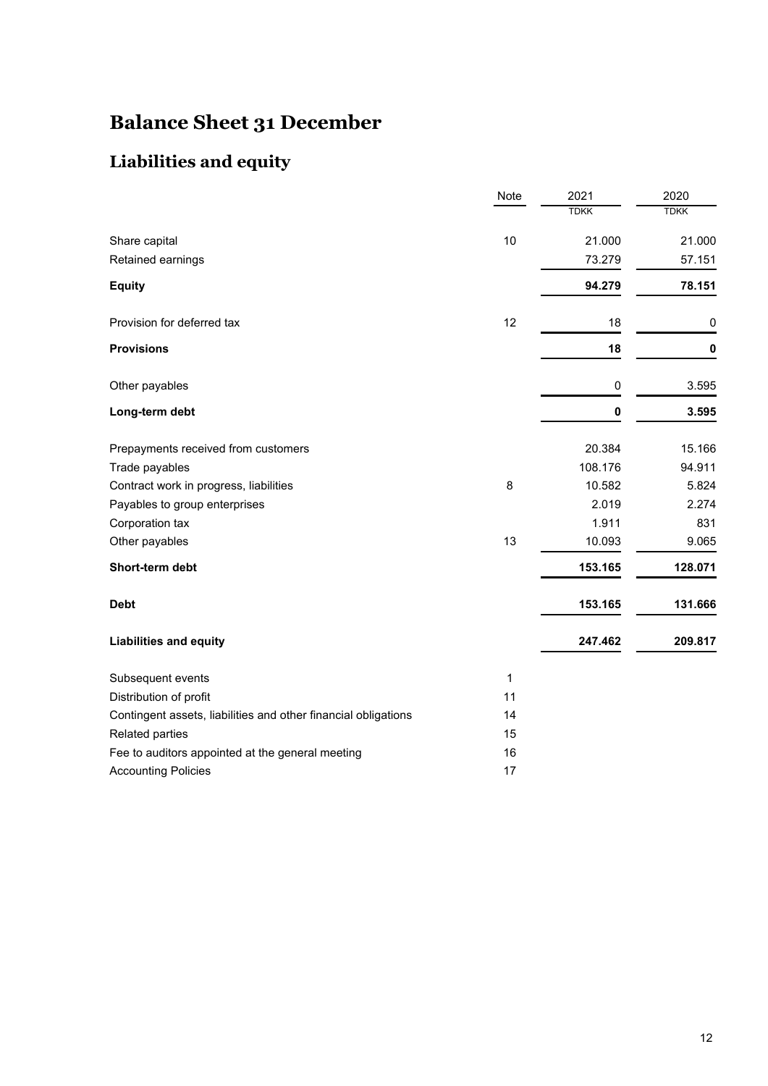# **Balance Sheet 31 December**

### **Liabilities and equity**

|                                                                | Note         | 2021        | 2020        |
|----------------------------------------------------------------|--------------|-------------|-------------|
|                                                                |              | <b>TDKK</b> | <b>TDKK</b> |
| Share capital                                                  | 10           | 21.000      | 21.000      |
| Retained earnings                                              |              | 73.279      | 57.151      |
| <b>Equity</b>                                                  |              | 94.279      | 78.151      |
| Provision for deferred tax                                     | 12           | 18          | 0           |
| <b>Provisions</b>                                              |              | 18          | 0           |
| Other payables                                                 |              | 0           | 3.595       |
| Long-term debt                                                 |              | 0           | 3.595       |
| Prepayments received from customers                            |              | 20.384      | 15.166      |
| Trade payables                                                 |              | 108.176     | 94.911      |
| Contract work in progress, liabilities                         | 8            | 10.582      | 5.824       |
| Payables to group enterprises                                  |              | 2.019       | 2.274       |
| Corporation tax                                                |              | 1.911       | 831         |
| Other payables                                                 | 13           | 10.093      | 9.065       |
| Short-term debt                                                |              | 153.165     | 128.071     |
| <b>Debt</b>                                                    |              | 153.165     | 131.666     |
| <b>Liabilities and equity</b>                                  |              | 247.462     | 209.817     |
| Subsequent events                                              | $\mathbf{1}$ |             |             |
| Distribution of profit                                         | 11           |             |             |
| Contingent assets, liabilities and other financial obligations | 14           |             |             |
| Related parties                                                | 15           |             |             |
| Fee to auditors appointed at the general meeting               | 16           |             |             |
| <b>Accounting Policies</b>                                     | 17           |             |             |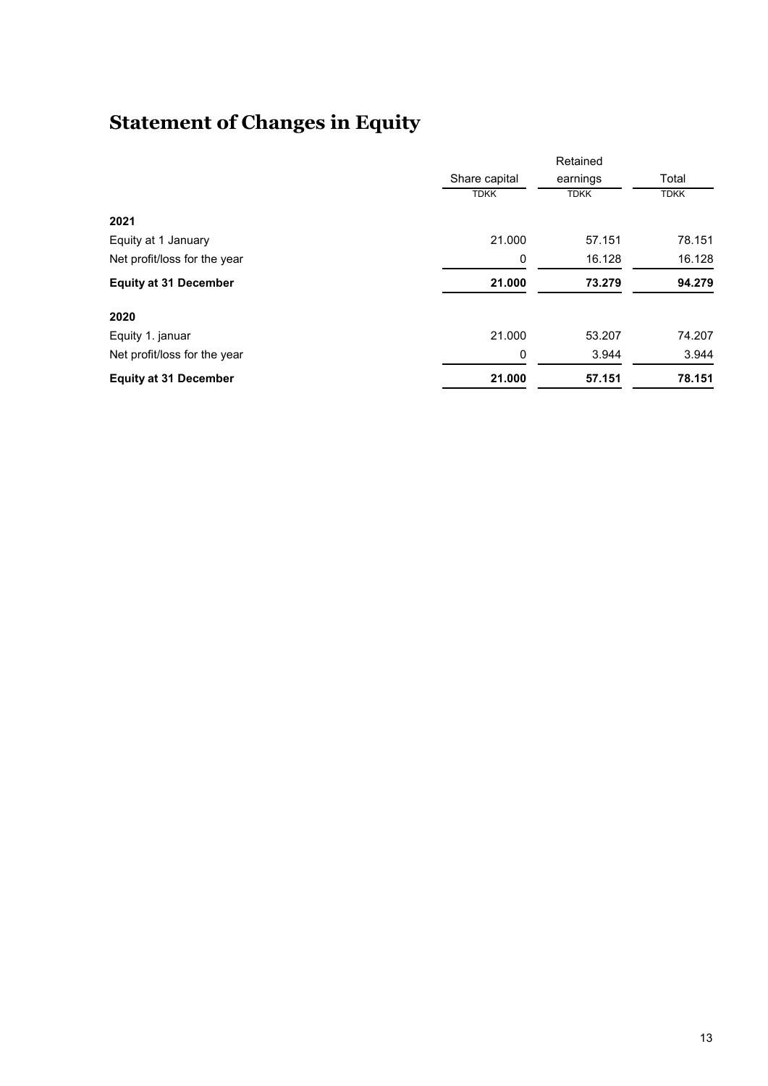# **Statement of Changes in Equity**

|                              |               | Retained    |             |
|------------------------------|---------------|-------------|-------------|
|                              | Share capital | earnings    | Total       |
|                              | <b>TDKK</b>   | <b>TDKK</b> | <b>TDKK</b> |
| 2021                         |               |             |             |
| Equity at 1 January          | 21.000        | 57.151      | 78.151      |
| Net profit/loss for the year | 0             | 16.128      | 16.128      |
| <b>Equity at 31 December</b> | 21.000        | 73.279      | 94.279      |
| 2020                         |               |             |             |
| Equity 1. januar             | 21.000        | 53.207      | 74.207      |
| Net profit/loss for the year | 0             | 3.944       | 3.944       |
| <b>Equity at 31 December</b> | 21.000        | 57.151      | 78.151      |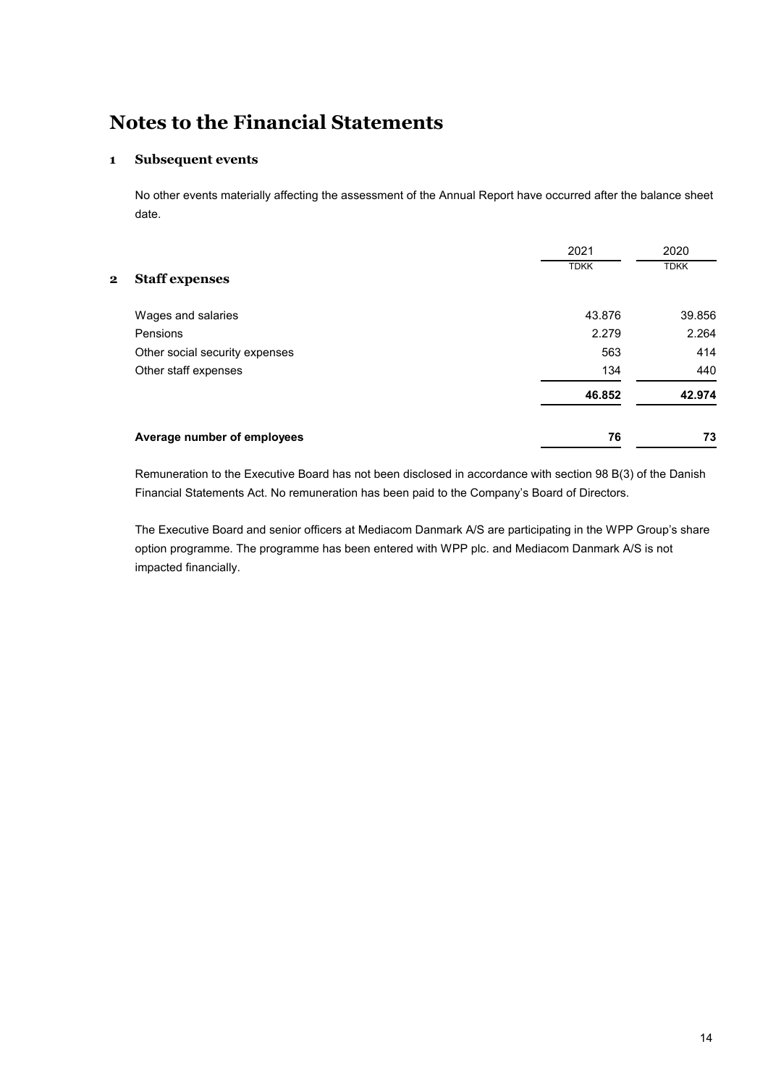#### **1 Subsequent events**

No other events materially affecting the assessment of the Annual Report have occurred after the balance sheet date.

|                                   | 2021        | 2020        |
|-----------------------------------|-------------|-------------|
| <b>Staff expenses</b><br>$\bf{2}$ | <b>TDKK</b> | <b>TDKK</b> |
| Wages and salaries                | 43.876      | 39.856      |
| Pensions                          | 2.279       | 2.264       |
| Other social security expenses    | 563         | 414         |
| Other staff expenses              | 134         | 440         |
|                                   | 46.852      | 42.974      |
| Average number of employees       | 76          | 73          |

Remuneration to the Executive Board has not been disclosed in accordance with section 98 B(3) of the Danish Financial Statements Act. No remuneration has been paid to the Company's Board of Directors.

The Executive Board and senior officers at Mediacom Danmark A/S are participating in the WPP Group's share option programme. The programme has been entered with WPP plc. and Mediacom Danmark A/S is not impacted financially.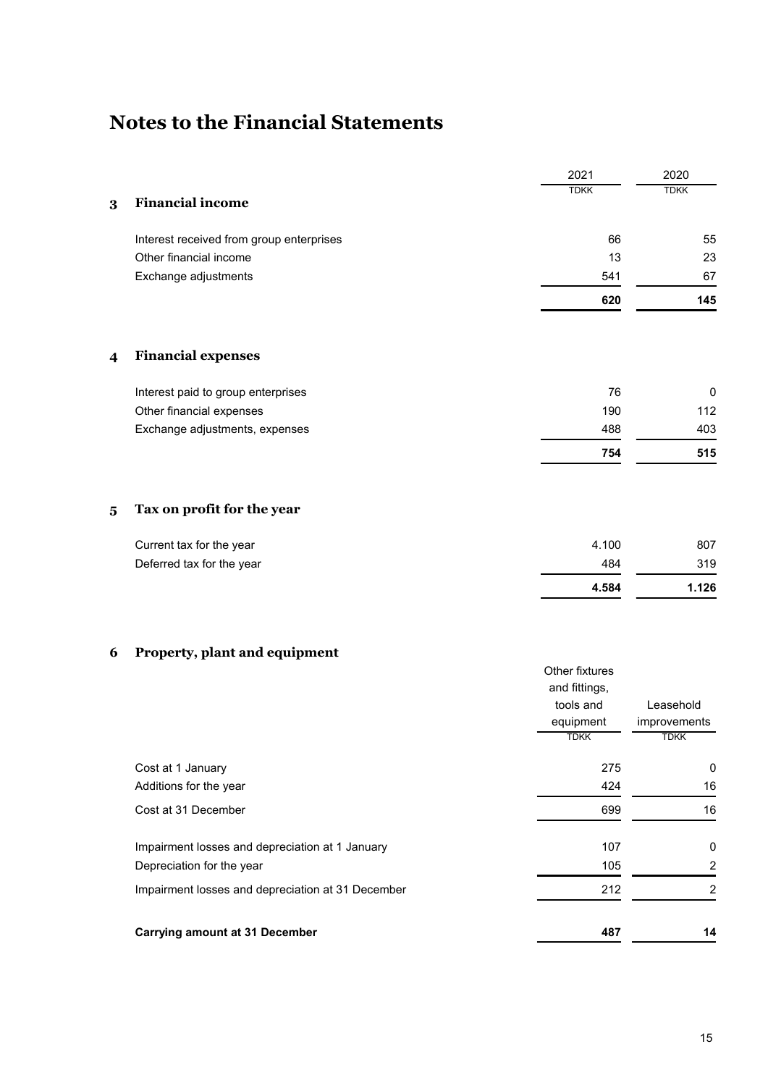|          |                                                   | 2021                     | 2020                        |
|----------|---------------------------------------------------|--------------------------|-----------------------------|
|          |                                                   | <b>TDKK</b>              | <b>TDKK</b>                 |
| $\bf{3}$ | <b>Financial income</b>                           |                          |                             |
|          | Interest received from group enterprises          | 66                       | 55                          |
|          | Other financial income                            | 13                       | 23                          |
|          | Exchange adjustments                              | 541                      | 67                          |
|          |                                                   | 620                      | 145                         |
| 4        | <b>Financial expenses</b>                         |                          |                             |
|          | Interest paid to group enterprises                | 76                       | 0                           |
|          | Other financial expenses                          | 190                      | 112                         |
|          | Exchange adjustments, expenses                    | 488                      | 403                         |
|          |                                                   | 754                      | 515                         |
| $\bf{5}$ | Tax on profit for the year                        |                          |                             |
|          | Current tax for the year                          | 4.100                    | 807                         |
|          | Deferred tax for the year                         | 484                      | 319                         |
|          |                                                   | 4.584                    | 1.126                       |
| 6        | Property, plant and equipment                     |                          |                             |
|          |                                                   | Other fixtures           |                             |
|          |                                                   | and fittings,            |                             |
|          |                                                   | tools and                | Leasehold                   |
|          |                                                   | equipment<br><b>TDKK</b> | improvements<br><b>TDKK</b> |
|          | Cost at 1 January                                 | 275                      | 0                           |
|          | Additions for the year                            | 424                      | 16                          |
|          | Cost at 31 December                               | 699                      | 16                          |
|          |                                                   |                          |                             |
|          | Impairment losses and depreciation at 1 January   | 107                      | 0                           |
|          | Depreciation for the year                         | 105                      | $\overline{c}$              |
|          | Impairment losses and depreciation at 31 December | 212                      | $\overline{c}$              |

# **Carrying amount at 31 December 487 14**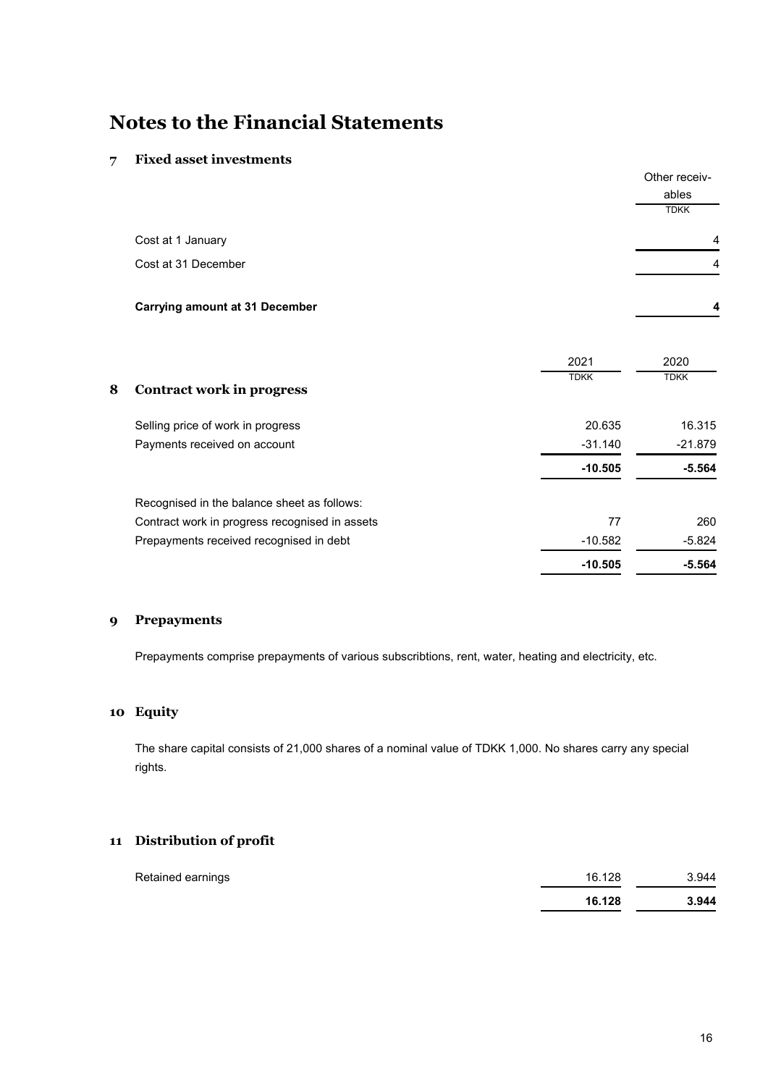#### **7 Fixed asset investments**

|                                       | Other receiv-<br>ables  |
|---------------------------------------|-------------------------|
|                                       | <b>TDKK</b>             |
| Cost at 1 January                     | $\overline{4}$          |
| Cost at 31 December                   | $\overline{4}$          |
| <b>Carrying amount at 31 December</b> | $\overline{\mathbf{4}}$ |

|   |                                                | 2021        | 2020        |
|---|------------------------------------------------|-------------|-------------|
| 8 | Contract work in progress                      | <b>TDKK</b> | <b>TDKK</b> |
|   |                                                |             |             |
|   | Selling price of work in progress              | 20.635      | 16.315      |
|   | Payments received on account                   | $-31.140$   | $-21.879$   |
|   |                                                | $-10.505$   | $-5.564$    |
|   | Recognised in the balance sheet as follows:    |             |             |
|   | Contract work in progress recognised in assets | 77          | 260         |
|   | Prepayments received recognised in debt        | $-10.582$   | $-5.824$    |
|   |                                                | $-10.505$   | $-5.564$    |

#### **9 Prepayments**

Prepayments comprise prepayments of various subscribtions, rent, water, heating and electricity, etc.

### **10 Equity**

The share capital consists of 21,000 shares of a nominal value of TDKK 1,000. No shares carry any special rights.

### **11 Distribution of profit**

| Retained earnings | 16.128 | 3.944 |
|-------------------|--------|-------|
|                   | 16.128 | 3.944 |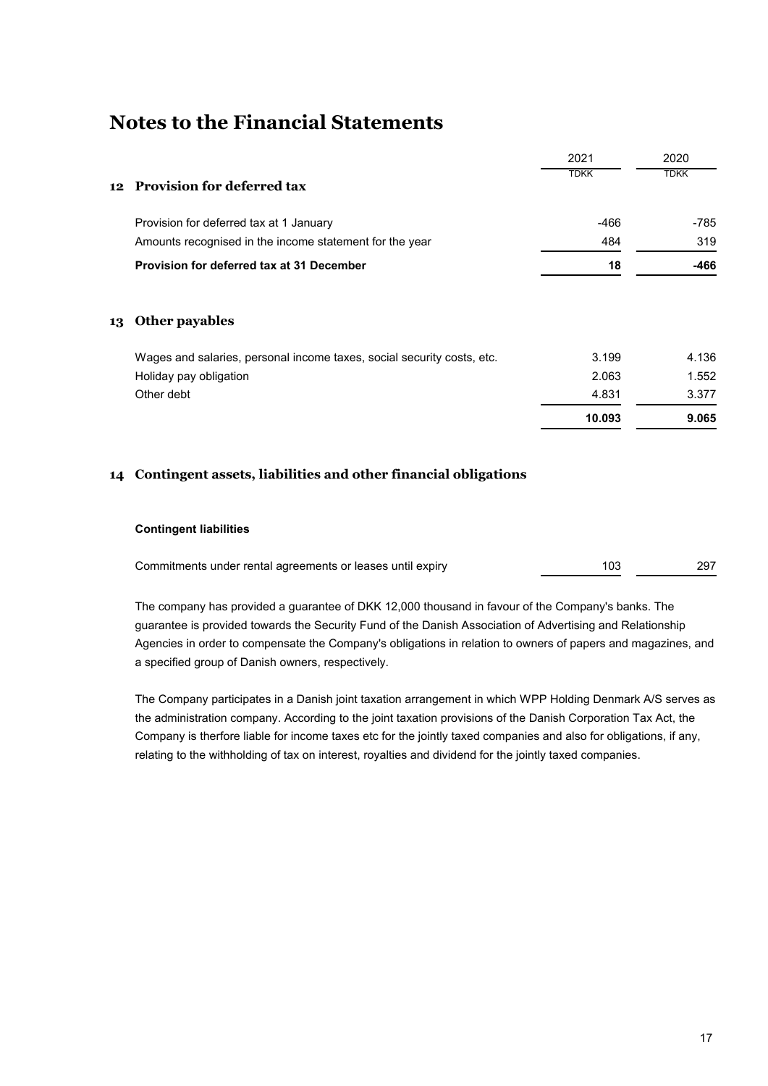|                                                                        | 2021        | 2020        |
|------------------------------------------------------------------------|-------------|-------------|
| <b>Provision for deferred tax</b>                                      | <b>TDKK</b> | <b>TDKK</b> |
| Provision for deferred tax at 1 January                                | $-466$      | -785        |
| Amounts recognised in the income statement for the year                | 484         | 319         |
| Provision for deferred tax at 31 December                              | 18          | $-466$      |
| Other payables                                                         |             |             |
| Wages and salaries, personal income taxes, social security costs, etc. | 3.199       | 4.136       |
| Holiday pay obligation                                                 | 2.063       | 1.552       |
| Other debt                                                             | 4.831       | 3.377       |
|                                                                        | 10.093      | 9.065       |
|                                                                        | 12<br>13    |             |

### **14 Contingent assets, liabilities and other financial obligations**

#### **Contingent liabilities**

| Commitments under rental agreements or leases until expiry | 297 |
|------------------------------------------------------------|-----|
|                                                            |     |

The company has provided a guarantee of DKK 12,000 thousand in favour of the Company's banks. The guarantee is provided towards the Security Fund of the Danish Association of Advertising and Relationship Agencies in order to compensate the Company's obligations in relation to owners of papers and magazines, and a specified group of Danish owners, respectively.

The Company participates in a Danish joint taxation arrangement in which WPP Holding Denmark A/S serves as the administration company. According to the joint taxation provisions of the Danish Corporation Tax Act, the Company is therfore liable for income taxes etc for the jointly taxed companies and also for obligations, if any, relating to the withholding of tax on interest, royalties and dividend for the jointly taxed companies.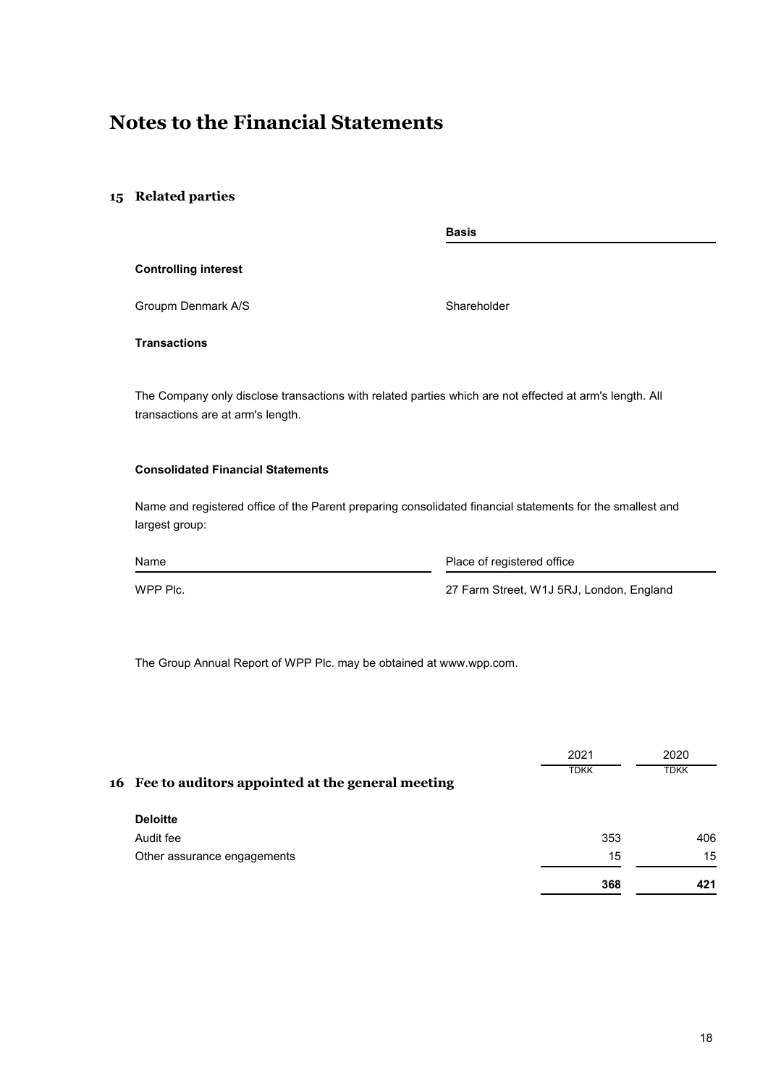### **15 Related parties**

|                                                                                                                                              | <b>Basis</b>               |  |  |
|----------------------------------------------------------------------------------------------------------------------------------------------|----------------------------|--|--|
| <b>Controlling interest</b>                                                                                                                  |                            |  |  |
| Groupm Denmark A/S                                                                                                                           | Shareholder                |  |  |
| <b>Transactions</b>                                                                                                                          |                            |  |  |
| The Company only disclose transactions with related parties which are not effected at arm's length. All<br>transactions are at arm's length. |                            |  |  |
| <b>Consolidated Financial Statements</b>                                                                                                     |                            |  |  |
| Name and registered office of the Parent preparing consolidated financial statements for the smallest and<br>largest group:                  |                            |  |  |
| Name                                                                                                                                         | Place of registered office |  |  |

WPP Plc. WPP Plc.

The Group Annual Report of WPP Plc. may be obtained at www.wpp.com.

|                                                     | 2021        | 2020        |
|-----------------------------------------------------|-------------|-------------|
| 16 Fee to auditors appointed at the general meeting | <b>TDKK</b> | <b>TDKK</b> |
| <b>Deloitte</b>                                     |             |             |
| Audit fee                                           | 353         | 406         |
| Other assurance engagements                         | 15          | 15          |
|                                                     | 368         | 421         |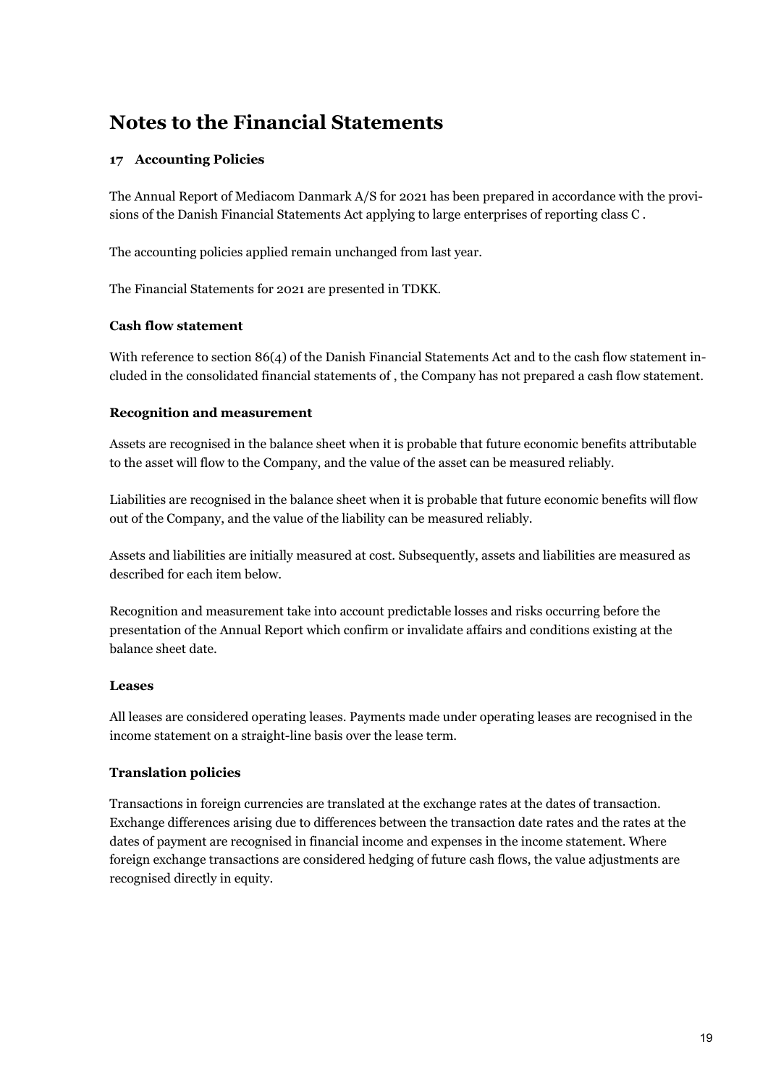### **17 Accounting Policies**

The Annual Report of Mediacom Danmark A/S for 2021 has been prepared in accordance with the provisions of the Danish Financial Statements Act applying to large enterprises of reporting class C .

The accounting policies applied remain unchanged from last year.

The Financial Statements for 2021 are presented in TDKK.

### **Cash flow statement**

With reference to section 86(4) of the Danish Financial Statements Act and to the cash flow statement included in the consolidated financial statements of , the Company has not prepared a cash flow statement.

### **Recognition and measurement**

Assets are recognised in the balance sheet when it is probable that future economic benefits attributable to the asset will flow to the Company, and the value of the asset can be measured reliably.

Liabilities are recognised in the balance sheet when it is probable that future economic benefits will flow out of the Company, and the value of the liability can be measured reliably.

Assets and liabilities are initially measured at cost. Subsequently, assets and liabilities are measured as described for each item below.

Recognition and measurement take into account predictable losses and risks occurring before the presentation of the Annual Report which confirm or invalidate affairs and conditions existing at the balance sheet date.

### **Leases**

All leases are considered operating leases. Payments made under operating leases are recognised in the income statement on a straight-line basis over the lease term.

### **Translation policies**

Transactions in foreign currencies are translated at the exchange rates at the dates of transaction. Exchange differences arising due to differences between the transaction date rates and the rates at the dates of payment are recognised in financial income and expenses in the income statement. Where foreign exchange transactions are considered hedging of future cash flows, the value adjustments are recognised directly in equity.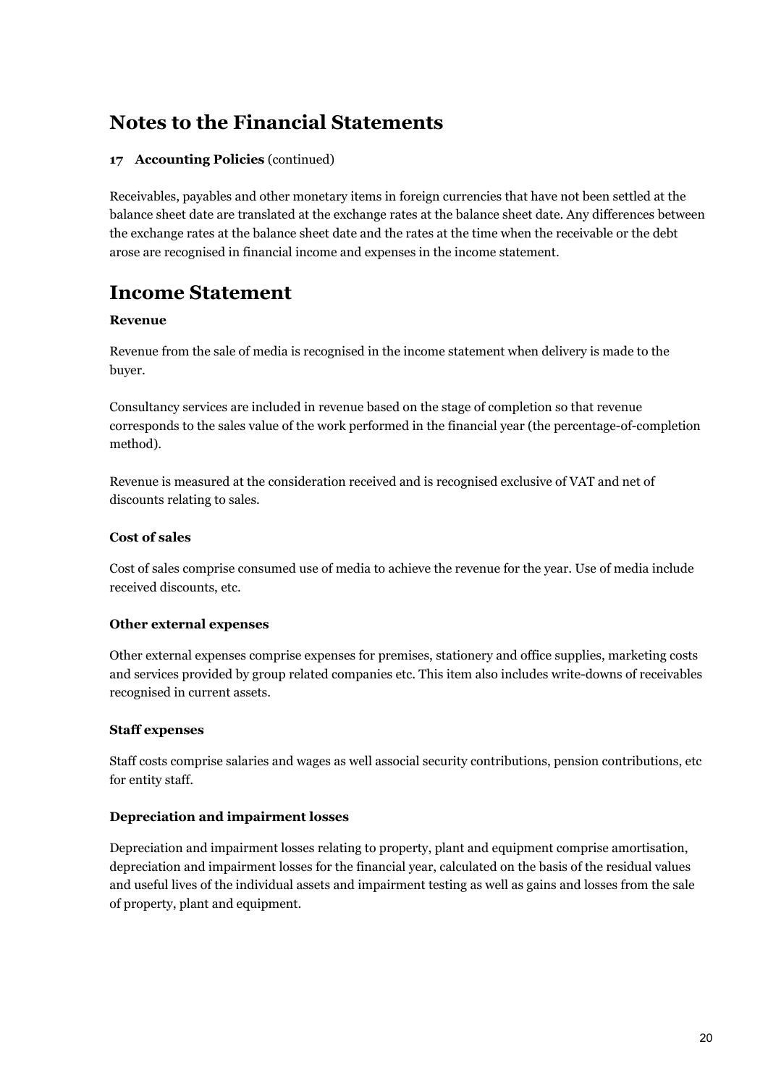### **17 Accounting Policies** (continued)

Receivables, payables and other monetary items in foreign currencies that have not been settled at the balance sheet date are translated at the exchange rates at the balance sheet date. Any differences between the exchange rates at the balance sheet date and the rates at the time when the receivable or the debt arose are recognised in financial income and expenses in the income statement.

### **Income Statement**

### **Revenue**

Revenue from the sale of media is recognised in the income statement when delivery is made to the buyer.

Consultancy services are included in revenue based on the stage of completion so that revenue corresponds to the sales value of the work performed in the financial year (the percentage-of-completion method).

Revenue is measured at the consideration received and is recognised exclusive of VAT and net of discounts relating to sales.

### **Cost of sales**

Cost of sales comprise consumed use of media to achieve the revenue for the year. Use of media include received discounts, etc.

### **Other external expenses**

Other external expenses comprise expenses for premises, stationery and office supplies, marketing costs and services provided by group related companies etc. This item also includes write-downs of receivables recognised in current assets.

#### **Staff expenses**

Staff costs comprise salaries and wages as well associal security contributions, pension contributions, etc for entity staff.

### **Depreciation and impairment losses**

Depreciation and impairment losses relating to property, plant and equipment comprise amortisation, depreciation and impairment losses for the financial year, calculated on the basis of the residual values and useful lives of the individual assets and impairment testing as well as gains and losses from the sale of property, plant and equipment.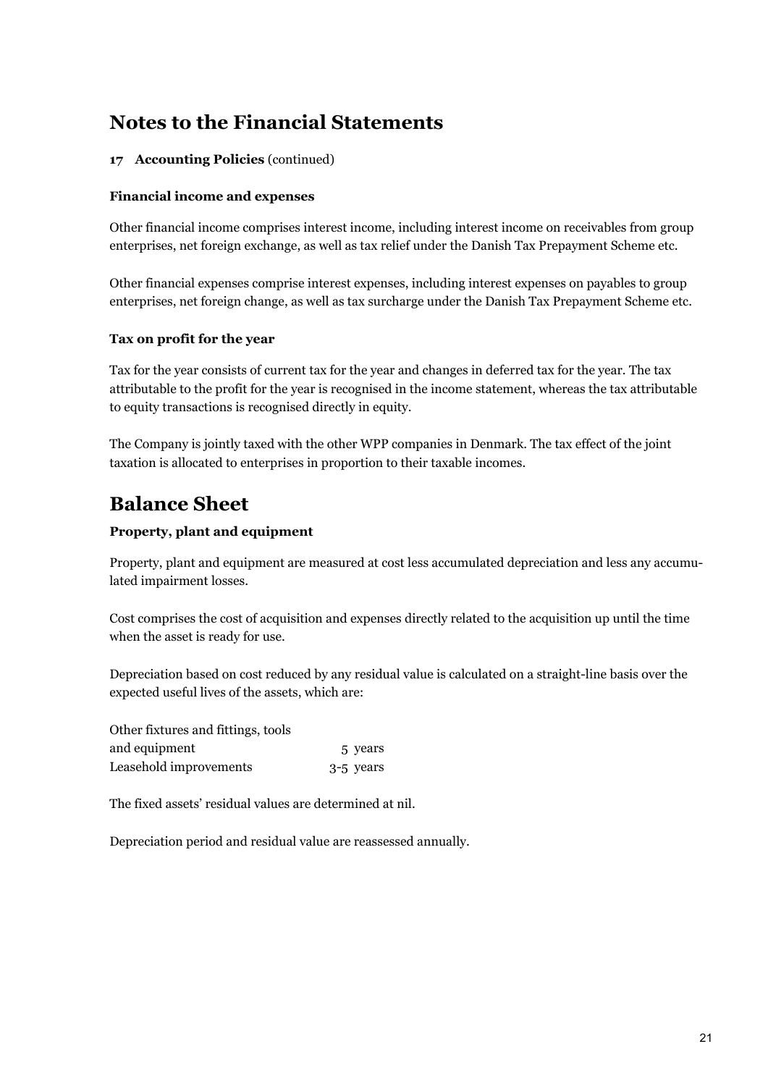### **17 Accounting Policies** (continued)

### **Financial income and expenses**

Other financial income comprises interest income, including interest income on receivables from group enterprises, net foreign exchange, as well as tax relief under the Danish Tax Prepayment Scheme etc.

Other financial expenses comprise interest expenses, including interest expenses on payables to group enterprises, net foreign change, as well as tax surcharge under the Danish Tax Prepayment Scheme etc.

### **Tax on profit for the year**

Tax for the year consists of current tax for the year and changes in deferred tax for the year. The tax attributable to the profit for the year is recognised in the income statement, whereas the tax attributable to equity transactions is recognised directly in equity.

The Company is jointly taxed with the other WPP companies in Denmark. The tax effect of the joint taxation is allocated to enterprises in proportion to their taxable incomes.

### **Balance Sheet**

### **Property, plant and equipment**

Property, plant and equipment are measured at cost less accumulated depreciation and less any accumulated impairment losses.

Cost comprises the cost of acquisition and expenses directly related to the acquisition up until the time when the asset is ready for use.

Depreciation based on cost reduced by any residual value is calculated on a straight-line basis over the expected useful lives of the assets, which are:

| Other fixtures and fittings, tools |           |
|------------------------------------|-----------|
| and equipment                      | 5 years   |
| Leasehold improvements             | 3-5 years |

The fixed assets' residual values are determined at nil.

Depreciation period and residual value are reassessed annually.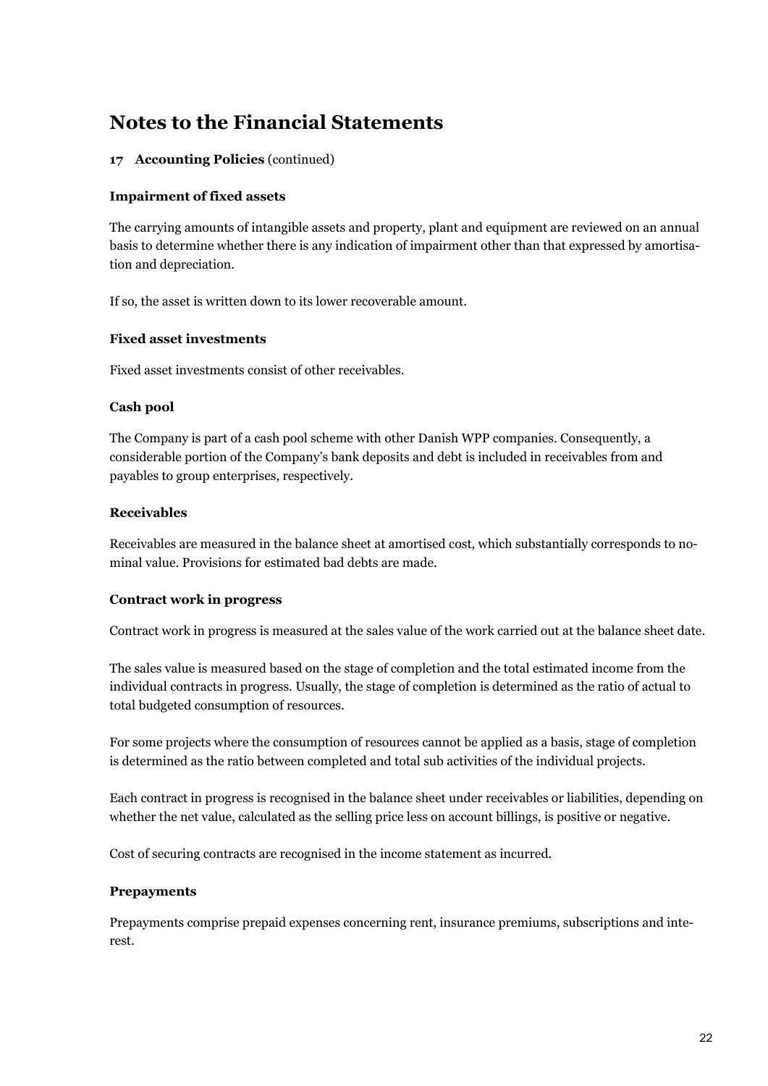### **17 Accounting Policies** (continued)

### **Impairment of fixed assets**

The carrying amounts of intangible assets and property, plant and equipment are reviewed on an annual basis to determine whether there is any indication of impairment other than that expressed by amortisation and depreciation.

If so, the asset is written down to its lower recoverable amount.

#### **Fixed asset investments**

Fixed asset investments consist of other receivables.

### **Cash pool**

The Company is part of a cash pool scheme with other Danish WPP companies. Consequently, a considerable portion of the Company's bank deposits and debt is included in receivables from and payables to group enterprises, respectively.

### **Receivables**

Receivables are measured in the balance sheet at amortised cost, which substantially corresponds to nominal value. Provisions for estimated bad debts are made.

#### **Contract work in progress**

Contract work in progress is measured at the sales value of the work carried out at the balance sheet date.

The sales value is measured based on the stage of completion and the total estimated income from the individual contracts in progress. Usually, the stage of completion is determined as the ratio of actual to total budgeted consumption of resources.

For some projects where the consumption of resources cannot be applied as a basis, stage of completion is determined as the ratio between completed and total sub activities of the individual projects.

Each contract in progress is recognised in the balance sheet under receivables or liabilities, depending on whether the net value, calculated as the selling price less on account billings, is positive or negative.

Cost of securing contracts are recognised in the income statement as incurred.

#### **Prepayments**

Prepayments comprise prepaid expenses concerning rent, insurance premiums, subscriptions and interest.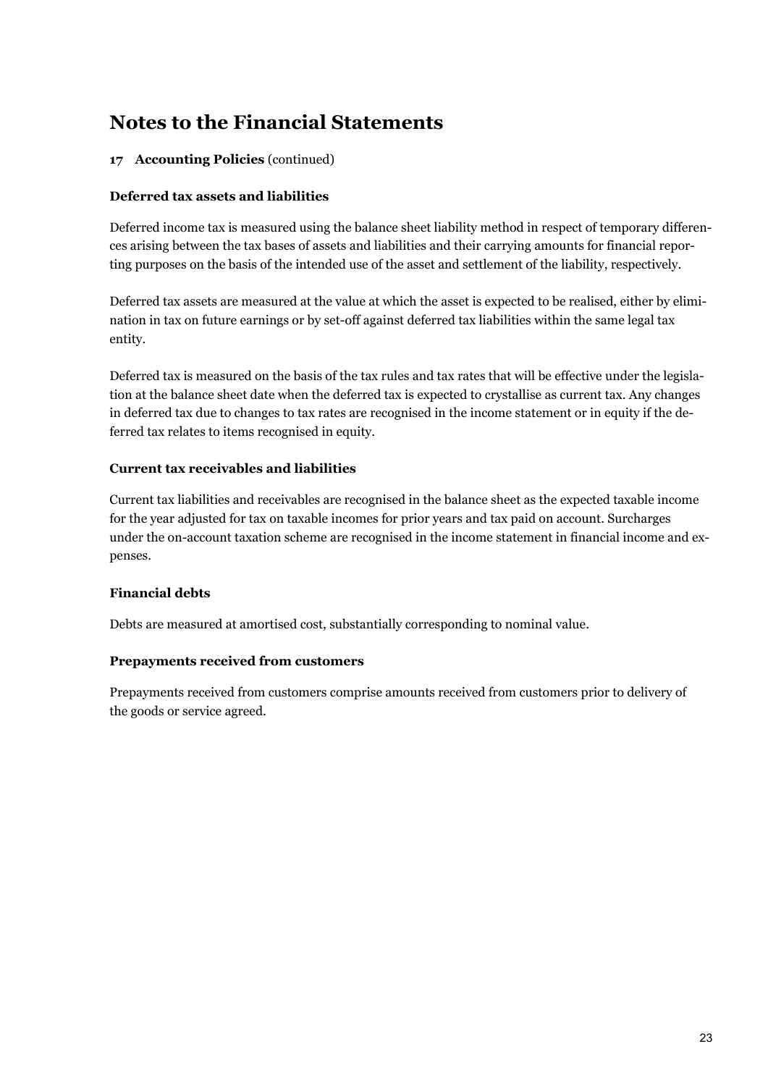### **17 Accounting Policies** (continued)

### **Deferred tax assets and liabilities**

Deferred income tax is measured using the balance sheet liability method in respect of temporary differences arising between the tax bases of assets and liabilities and their carrying amounts for financial reporting purposes on the basis of the intended use of the asset and settlement of the liability, respectively.

Deferred tax assets are measured at the value at which the asset is expected to be realised, either by elimination in tax on future earnings or by set-off against deferred tax liabilities within the same legal tax entity.

Deferred tax is measured on the basis of the tax rules and tax rates that will be effective under the legislation at the balance sheet date when the deferred tax is expected to crystallise as current tax. Any changes in deferred tax due to changes to tax rates are recognised in the income statement or in equity if the deferred tax relates to items recognised in equity.

### **Current tax receivables and liabilities**

Current tax liabilities and receivables are recognised in the balance sheet as the expected taxable income for the year adjusted for tax on taxable incomes for prior years and tax paid on account. Surcharges under the on-account taxation scheme are recognised in the income statement in financial income and expenses.

### **Financial debts**

Debts are measured at amortised cost, substantially corresponding to nominal value.

#### **Prepayments received from customers**

Prepayments received from customers comprise amounts received from customers prior to delivery of the goods or service agreed.